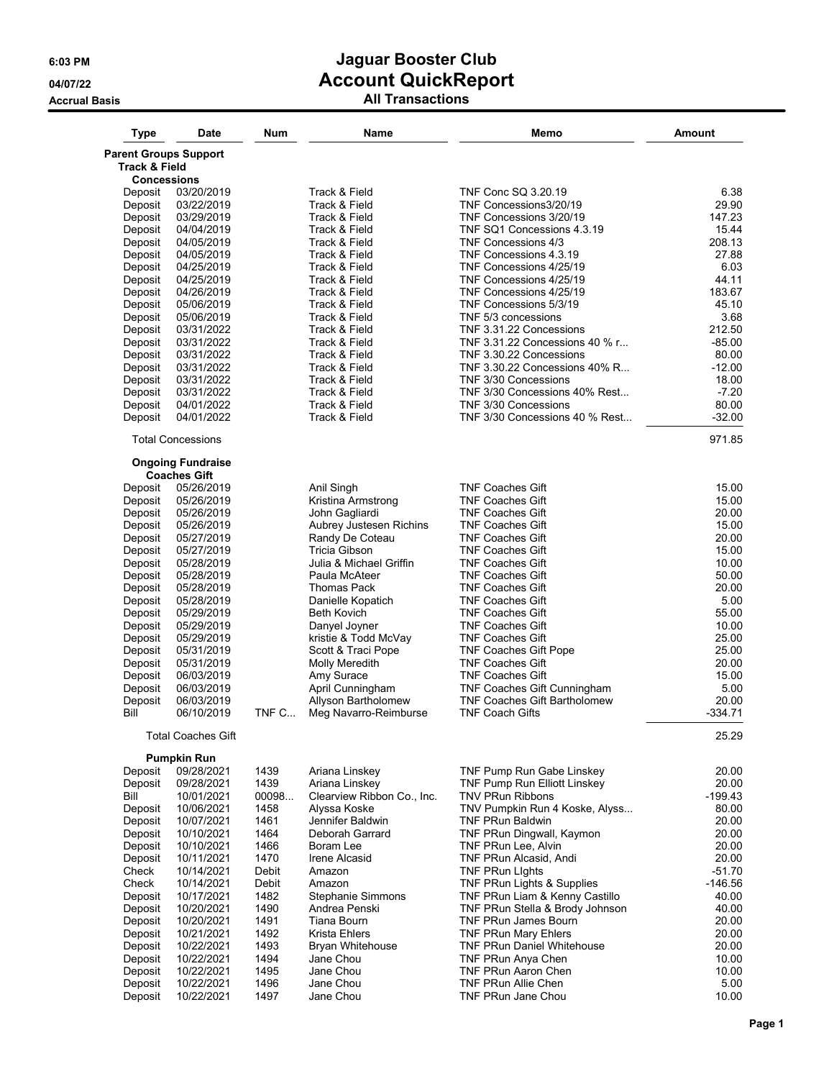| <b>Type</b>                  | <b>Date</b>                                     | Num   | Name                           | Memo                                              | Amount          |
|------------------------------|-------------------------------------------------|-------|--------------------------------|---------------------------------------------------|-----------------|
| <b>Parent Groups Support</b> |                                                 |       |                                |                                                   |                 |
| Track & Field                |                                                 |       |                                |                                                   |                 |
| Concessions                  |                                                 |       |                                |                                                   |                 |
| Deposit                      | 03/20/2019                                      |       | Track & Field                  | TNF Conc SQ 3.20.19                               | 6.38            |
| Deposit                      | 03/22/2019                                      |       | Track & Field                  | TNF Concessions3/20/19                            | 29.90           |
| Deposit                      | 03/29/2019                                      |       | Track & Field                  | TNF Concessions 3/20/19                           | 147.23<br>15.44 |
| Deposit                      | 04/04/2019<br>04/05/2019                        |       | Track & Field<br>Track & Field | TNF SQ1 Concessions 4.3.19<br>TNF Concessions 4/3 | 208.13          |
| Deposit<br>Deposit           | 04/05/2019                                      |       | Track & Field                  | TNF Concessions 4.3.19                            | 27.88           |
| Deposit                      | 04/25/2019                                      |       | Track & Field                  | TNF Concessions 4/25/19                           | 6.03            |
| Deposit                      | 04/25/2019                                      |       | Track & Field                  | TNF Concessions 4/25/19                           | 44.11           |
| Deposit                      | 04/26/2019                                      |       | Track & Field                  | TNF Concessions 4/25/19                           | 183.67          |
| Deposit                      | 05/06/2019                                      |       | Track & Field                  | TNF Concessions 5/3/19                            | 45.10           |
| Deposit                      | 05/06/2019                                      |       | Track & Field                  | TNF 5/3 concessions                               | 3.68            |
| Deposit                      | 03/31/2022                                      |       | Track & Field                  | TNF 3.31.22 Concessions                           | 212.50          |
| Deposit                      | 03/31/2022                                      |       | Track & Field                  | TNF 3.31.22 Concessions 40 % r                    | $-85.00$        |
| Deposit                      | 03/31/2022                                      |       | Track & Field                  | TNF 3.30.22 Concessions                           | 80.00           |
| Deposit                      | 03/31/2022                                      |       | Track & Field                  | TNF 3.30.22 Concessions 40% R                     | $-12.00$        |
| Deposit                      | 03/31/2022                                      |       | Track & Field                  | TNF 3/30 Concessions                              | 18.00           |
| Deposit                      | 03/31/2022                                      |       | Track & Field                  | TNF 3/30 Concessions 40% Rest                     | $-7.20$         |
| Deposit                      | 04/01/2022                                      |       | Track & Field                  | TNF 3/30 Concessions                              | 80.00           |
| Deposit                      | 04/01/2022                                      |       | Track & Field                  | TNF 3/30 Concessions 40 % Rest                    | $-32.00$        |
|                              | <b>Total Concessions</b>                        |       |                                |                                                   | 971.85          |
|                              |                                                 |       |                                |                                                   |                 |
|                              | <b>Ongoing Fundraise</b><br><b>Coaches Gift</b> |       |                                |                                                   |                 |
| Deposit                      | 05/26/2019                                      |       | Anil Singh                     | <b>TNF Coaches Gift</b>                           | 15.00           |
| Deposit                      | 05/26/2019                                      |       | Kristina Armstrong             | <b>TNF Coaches Gift</b>                           | 15.00           |
| Deposit                      | 05/26/2019                                      |       | John Gagliardi                 | <b>TNF Coaches Gift</b>                           | 20.00           |
| Deposit                      | 05/26/2019                                      |       | Aubrey Justesen Richins        | <b>TNF Coaches Gift</b>                           | 15.00           |
| Deposit                      | 05/27/2019                                      |       | Randy De Coteau                | <b>TNF Coaches Gift</b>                           | 20.00           |
| Deposit                      | 05/27/2019                                      |       | Tricia Gibson                  | <b>TNF Coaches Gift</b>                           | 15.00           |
| Deposit                      | 05/28/2019                                      |       | Julia & Michael Griffin        | <b>TNF Coaches Gift</b>                           | 10.00           |
| Deposit                      | 05/28/2019                                      |       | Paula McAteer                  | <b>TNF Coaches Gift</b>                           | 50.00           |
|                              | 05/28/2019                                      |       | Thomas Pack                    | <b>TNF Coaches Gift</b>                           | 20.00           |
| Deposit<br>Deposit           | 05/28/2019                                      |       | Danielle Kopatich              | <b>TNF Coaches Gift</b>                           | 5.00            |
| Deposit                      | 05/29/2019                                      |       | <b>Beth Kovich</b>             | <b>TNF Coaches Gift</b>                           | 55.00           |
| Deposit                      | 05/29/2019                                      |       | Danyel Joyner                  | <b>TNF Coaches Gift</b>                           | 10.00           |
| Deposit                      | 05/29/2019                                      |       | kristie & Todd McVay           | <b>TNF Coaches Gift</b>                           | 25.00           |
| Deposit                      | 05/31/2019                                      |       | Scott & Traci Pope             | TNF Coaches Gift Pope                             | 25.00           |
| Deposit                      | 05/31/2019                                      |       | Molly Meredith                 | <b>TNF Coaches Gift</b>                           | 20.00           |
| Deposit                      | 06/03/2019                                      |       | Amy Surace                     | <b>TNF Coaches Gift</b>                           | 15.00           |
| Deposit                      | 06/03/2019                                      |       | April Cunningham               | TNF Coaches Gift Cunningham                       | 5.00            |
| Deposit                      | 06/03/2019                                      |       | Allyson Bartholomew            | <b>TNF Coaches Gift Bartholomew</b>               | 20.00           |
| Bill                         | 06/10/2019                                      | TNF C | Meg Navarro-Reimburse          | <b>TNF Coach Gifts</b>                            | $-334.71$       |
|                              |                                                 |       |                                |                                                   |                 |
|                              | <b>Total Coaches Gift</b>                       |       |                                |                                                   | 25.29           |
|                              | <b>Pumpkin Run</b>                              |       |                                |                                                   |                 |
| Deposit                      | 09/28/2021                                      | 1439  | Ariana Linskey                 | TNF Pump Run Gabe Linskey                         | 20.00           |
| Deposit                      | 09/28/2021                                      | 1439  | Ariana Linskey                 | TNF Pump Run Elliott Linskey                      | 20.00           |
| Bill                         | 10/01/2021                                      | 00098 | Clearview Ribbon Co., Inc.     | <b>TNV PRun Ribbons</b>                           | $-199.43$       |
| Deposit                      | 10/06/2021                                      | 1458  | Alyssa Koske                   | TNV Pumpkin Run 4 Koske, Alyss                    | 80.00           |
| Deposit                      | 10/07/2021                                      | 1461  | Jennifer Baldwin               | <b>TNF PRun Baldwin</b>                           | 20.00           |
| Deposit                      | 10/10/2021                                      | 1464  | Deborah Garrard                | TNF PRun Dingwall, Kaymon                         | 20.00           |
| Deposit                      | 10/10/2021                                      | 1466  | Boram Lee                      | TNF PRun Lee, Alvin                               | 20.00           |
| Deposit                      | 10/11/2021                                      | 1470  | Irene Alcasid                  | TNF PRun Alcasid, Andi                            | 20.00           |
| Check                        | 10/14/2021                                      | Debit | Amazon                         | <b>TNF PRun Lights</b>                            | $-51.70$        |
| Check                        | 10/14/2021                                      | Debit | Amazon                         | TNF PRun Lights & Supplies                        | $-146.56$       |
| Deposit                      | 10/17/2021                                      | 1482  | <b>Stephanie Simmons</b>       | TNF PRun Liam & Kenny Castillo                    | 40.00           |
| Deposit                      | 10/20/2021                                      | 1490  | Andrea Penski                  | TNF PRun Stella & Brody Johnson                   | 40.00           |
| Deposit                      | 10/20/2021                                      | 1491  | Tiana Bourn                    | TNF PRun James Bourn                              | 20.00           |
| Deposit                      | 10/21/2021                                      | 1492  | Krista Ehlers                  | <b>TNF PRun Mary Ehlers</b>                       | 20.00           |
| Deposit                      | 10/22/2021                                      | 1493  | Bryan Whitehouse               | <b>TNF PRun Daniel Whitehouse</b>                 | 20.00           |
| Deposit                      | 10/22/2021                                      | 1494  | Jane Chou                      | TNF PRun Anya Chen                                | 10.00           |
| Deposit                      | 10/22/2021                                      | 1495  | Jane Chou                      | TNF PRun Aaron Chen                               | 10.00           |
| Deposit                      | 10/22/2021                                      | 1496  | Jane Chou                      | TNF PRun Allie Chen                               | 5.00            |
| Deposit                      | 10/22/2021                                      | 1497  | Jane Chou                      | TNF PRun Jane Chou                                | 10.00           |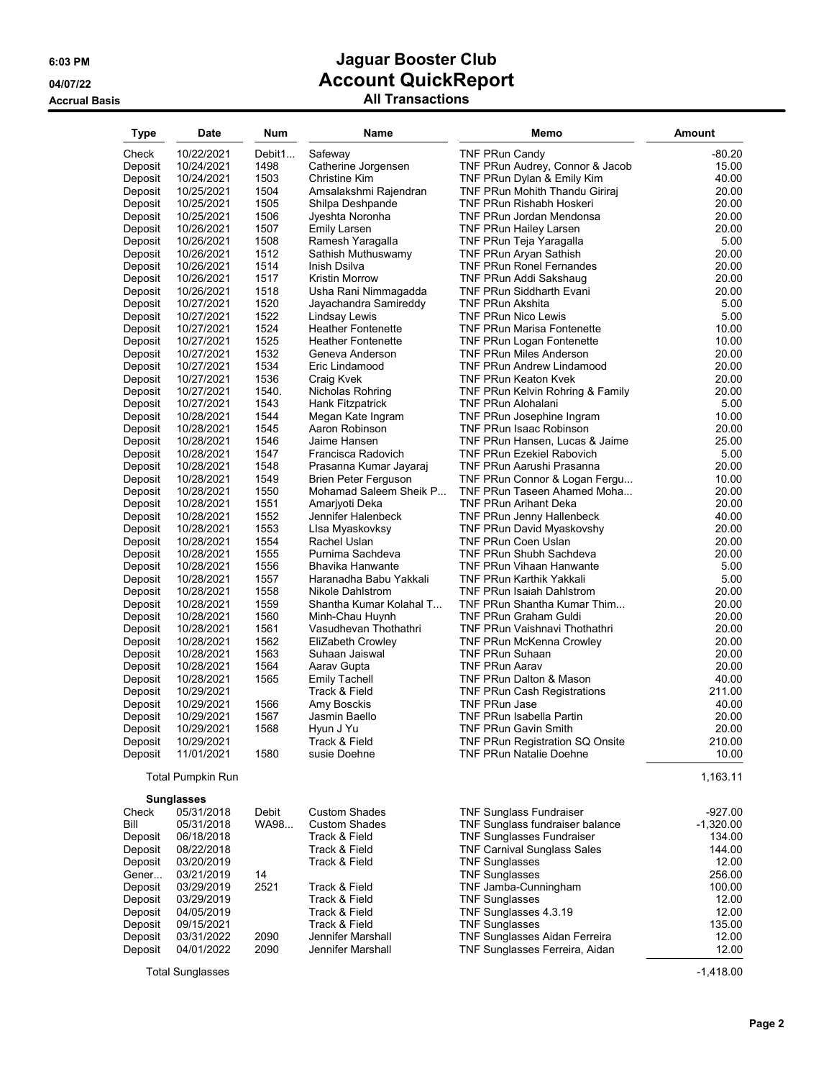| Type               | Date                     | Num          | <b>Name</b>                                    | Memo                                                         | <b>Amount</b>   |
|--------------------|--------------------------|--------------|------------------------------------------------|--------------------------------------------------------------|-----------------|
| Check              | 10/22/2021               | Debit1       | Safeway                                        | <b>TNF PRun Candy</b>                                        | $-80.20$        |
| Deposit            | 10/24/2021               | 1498         | Catherine Jorgensen                            | TNF PRun Audrey, Connor & Jacob                              | 15.00           |
| Deposit            | 10/24/2021               | 1503         | <b>Christine Kim</b>                           | TNF PRun Dylan & Emily Kim                                   | 40.00           |
| Deposit            | 10/25/2021               | 1504         | Amsalakshmi Rajendran                          | TNF PRun Mohith Thandu Giriraj                               | 20.00           |
| Deposit            | 10/25/2021               | 1505         | Shilpa Deshpande                               | TNF PRun Rishabh Hoskeri                                     | 20.00           |
| Deposit            | 10/25/2021               | 1506         | Jyeshta Noronha                                | TNF PRun Jordan Mendonsa                                     | 20.00           |
| Deposit            | 10/26/2021               | 1507         | <b>Emily Larsen</b>                            | <b>TNF PRun Hailey Larsen</b>                                | 20.00           |
| Deposit            | 10/26/2021               | 1508         | Ramesh Yaragalla                               | TNF PRun Teja Yaragalla                                      | 5.00            |
| Deposit            | 10/26/2021               | 1512         | Sathish Muthuswamy                             | TNF PRun Aryan Sathish                                       | 20.00           |
| Deposit<br>Deposit | 10/26/2021<br>10/26/2021 | 1514<br>1517 | Inish Dsilva<br>Kristin Morrow                 | <b>TNF PRun Ronel Fernandes</b><br>TNF PRun Addi Sakshaug    | 20.00<br>20.00  |
| Deposit            | 10/26/2021               | 1518         | Usha Rani Nimmagadda                           | <b>TNF PRun Siddharth Evani</b>                              | 20.00           |
| Deposit            | 10/27/2021               | 1520         | Jayachandra Samireddy                          | <b>TNF PRun Akshita</b>                                      | 5.00            |
| Deposit            | 10/27/2021               | 1522         | Lindsay Lewis                                  | <b>TNF PRun Nico Lewis</b>                                   | 5.00            |
| Deposit            | 10/27/2021               | 1524         | <b>Heather Fontenette</b>                      | <b>TNF PRun Marisa Fontenette</b>                            | 10.00           |
| Deposit            | 10/27/2021               | 1525         | <b>Heather Fontenette</b>                      | <b>TNF PRun Logan Fontenette</b>                             | 10.00           |
| Deposit            | 10/27/2021               | 1532         | Geneva Anderson                                | <b>TNF PRun Miles Anderson</b>                               | 20.00           |
| Deposit            | 10/27/2021               | 1534         | Eric Lindamood                                 | <b>TNF PRun Andrew Lindamood</b>                             | 20.00           |
| Deposit            | 10/27/2021               | 1536         | Craig Kvek                                     | <b>TNF PRun Keaton Kvek</b>                                  | 20.00           |
| Deposit            | 10/27/2021               | 1540.        | Nicholas Rohring                               | TNF PRun Kelvin Rohring & Family                             | 20.00           |
| Deposit            | 10/27/2021               | 1543         | Hank Fitzpatrick                               | <b>TNF PRun Alohalani</b>                                    | 5.00            |
| Deposit            | 10/28/2021               | 1544         | Megan Kate Ingram                              | TNF PRun Josephine Ingram                                    | 10.00           |
| Deposit            | 10/28/2021               | 1545         | Aaron Robinson                                 | <b>TNF PRun Isaac Robinson</b>                               | 20.00           |
| Deposit            | 10/28/2021               | 1546         | Jaime Hansen                                   | TNF PRun Hansen, Lucas & Jaime                               | 25.00           |
| Deposit            | 10/28/2021               | 1547         | Francisca Radovich                             | <b>TNF PRun Ezekiel Rabovich</b>                             | 5.00            |
| Deposit            | 10/28/2021               | 1548         | Prasanna Kumar Jayaraj                         | TNF PRun Aarushi Prasanna                                    | 20.00           |
| Deposit<br>Deposit | 10/28/2021<br>10/28/2021 | 1549<br>1550 | Brien Peter Ferguson<br>Mohamad Saleem Sheik P | TNF PRun Connor & Logan Fergu<br>TNF PRun Taseen Ahamed Moha | 10.00<br>20.00  |
| Deposit            | 10/28/2021               | 1551         | Amariyoti Deka                                 | <b>TNF PRun Arihant Deka</b>                                 | 20.00           |
| Deposit            | 10/28/2021               | 1552         | Jennifer Halenbeck                             | TNF PRun Jenny Hallenbeck                                    | 40.00           |
| Deposit            | 10/28/2021               | 1553         | Lisa Myaskovksy                                | <b>TNF PRun David Myaskovshy</b>                             | 20.00           |
| Deposit            | 10/28/2021               | 1554         | Rachel Uslan                                   | <b>TNF PRun Coen Uslan</b>                                   | 20.00           |
| Deposit            | 10/28/2021               | 1555         | Purnima Sachdeva                               | <b>TNF PRun Shubh Sachdeva</b>                               | 20.00           |
| Deposit            | 10/28/2021               | 1556         | Bhavika Hanwante                               | <b>TNF PRun Vihaan Hanwante</b>                              | 5.00            |
| Deposit            | 10/28/2021               | 1557         | Haranadha Babu Yakkali                         | <b>TNF PRun Karthik Yakkali</b>                              | 5.00            |
| Deposit            | 10/28/2021               | 1558         | Nikole Dahlstrom                               | <b>TNF PRun Isaiah Dahlstrom</b>                             | 20.00           |
| Deposit            | 10/28/2021               | 1559         | Shantha Kumar Kolahal T                        | TNF PRun Shantha Kumar Thim                                  | 20.00           |
| Deposit            | 10/28/2021               | 1560         | Minh-Chau Huynh                                | <b>TNF PRun Graham Guldi</b>                                 | 20.00           |
| Deposit            | 10/28/2021               | 1561         | Vasudhevan Thothathri                          | <b>TNF PRun Vaishnavi Thothathri</b>                         | 20.00           |
| Deposit            | 10/28/2021<br>10/28/2021 | 1562<br>1563 | EliZabeth Crowley<br>Suhaan Jaiswal            | TNF PRun McKenna Crowley<br><b>TNF PRun Suhaan</b>           | 20.00<br>20.00  |
| Deposit<br>Deposit | 10/28/2021               | 1564         | Aarav Gupta                                    | <b>TNF PRun Aarav</b>                                        | 20.00           |
| Deposit            | 10/28/2021               | 1565         | <b>Emily Tachell</b>                           | TNF PRun Dalton & Mason                                      | 40.00           |
| Deposit            | 10/29/2021               |              | Track & Field                                  | <b>TNF PRun Cash Registrations</b>                           | 211.00          |
| Deposit            | 10/29/2021               | 1566         | Amy Bosckis                                    | <b>TNF PRun Jase</b>                                         | 40.00           |
| Deposit            | 10/29/2021               | 1567         | Jasmin Baello                                  | <b>TNF PRun Isabella Partin</b>                              | 20.00           |
| Deposit            | 10/29/2021               | 1568         | Hyun J Yu                                      | TNF PRun Gavin Smith                                         | 20.00           |
| Deposit            | 10/29/2021               |              | Track & Field                                  | TNF PRun Registration SQ Onsite                              | 210.00          |
| Deposit            | 11/01/2021               | 1580         | susie Doehne                                   | <b>TNF PRun Natalie Doehne</b>                               | 10.00           |
|                    | <b>Total Pumpkin Run</b> |              |                                                |                                                              | 1,163.11        |
|                    | <b>Sunglasses</b>        |              |                                                |                                                              |                 |
| Check              | 05/31/2018               | Debit        | <b>Custom Shades</b>                           | <b>TNF Sunglass Fundraiser</b>                               | $-927.00$       |
| Bill               | 05/31/2018               | WA98         | <b>Custom Shades</b>                           | TNF Sunglass fundraiser balance                              | $-1,320.00$     |
| Deposit            | 06/18/2018               |              | Track & Field                                  | <b>TNF Sunglasses Fundraiser</b>                             | 134.00          |
| Deposit            | 08/22/2018               |              | Track & Field<br>Track & Field                 | <b>TNF Carnival Sunglass Sales</b>                           | 144.00          |
| Deposit<br>Gener   | 03/20/2019<br>03/21/2019 | 14           |                                                | <b>TNF Sunglasses</b><br><b>TNF Sunglasses</b>               | 12.00<br>256.00 |
| Deposit            | 03/29/2019               | 2521         | Track & Field                                  | TNF Jamba-Cunningham                                         | 100.00          |
| Deposit            | 03/29/2019               |              | Track & Field                                  | <b>TNF Sunglasses</b>                                        | 12.00           |
| Deposit            | 04/05/2019               |              | Track & Field                                  | TNF Sunglasses 4.3.19                                        | 12.00           |
| Deposit            | 09/15/2021               |              | Track & Field                                  | <b>TNF Sunglasses</b>                                        | 135.00          |
| Deposit            | 03/31/2022               | 2090         | Jennifer Marshall                              | TNF Sunglasses Aidan Ferreira                                | 12.00           |
| Deposit            | 04/01/2022               | 2090         | Jennifer Marshall                              | TNF Sunglasses Ferreira, Aidan                               | 12.00           |
|                    | <b>Total Sunglasses</b>  |              |                                                |                                                              | $-1,418.00$     |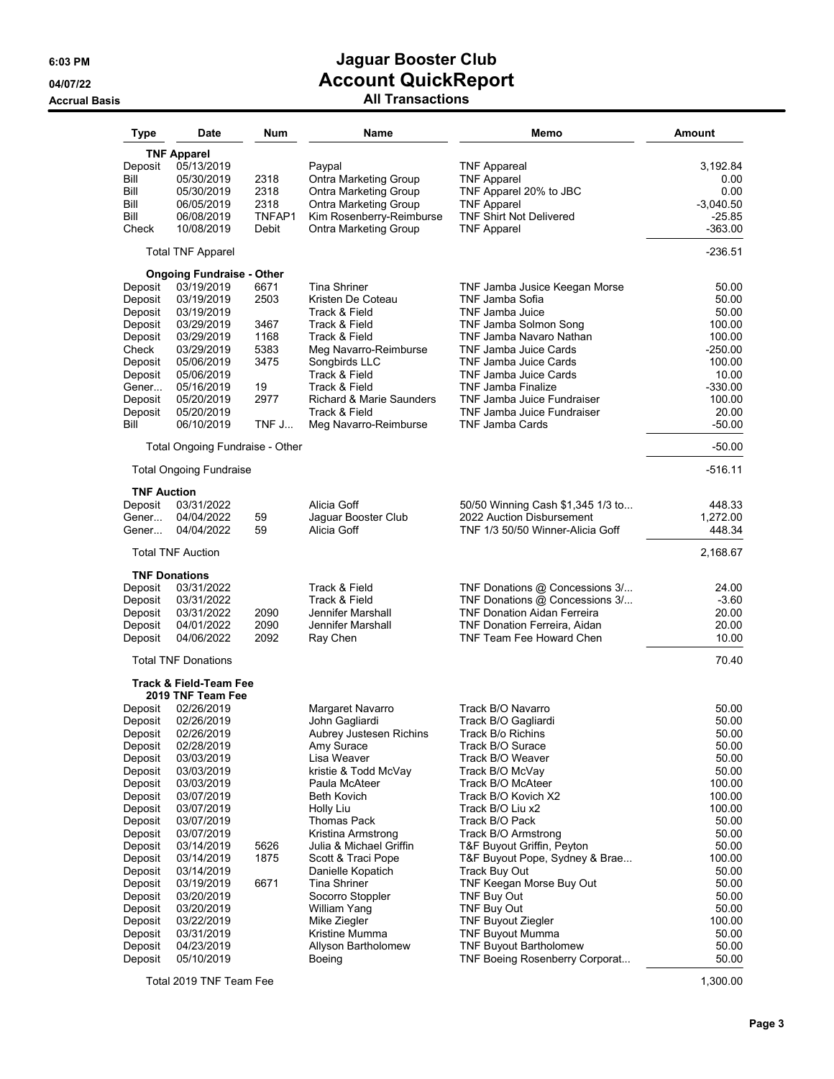### **6:03 PM Jaguar Booster Club 04/07/22 Account QuickReport Accrual Basis All Transactions**

| Type                                                                                                                                                                                                                                | <b>Date</b>                                                                                                                                                                                                                                                                                                             | Num                                                                 | Name                                                                                                                                                                                                                                                                                                                                                                                                     | Memo                                                                                                                                                                                                                                                                                                                                                                                                                                                                                                    | Amount                                                                                                                                                                                         |
|-------------------------------------------------------------------------------------------------------------------------------------------------------------------------------------------------------------------------------------|-------------------------------------------------------------------------------------------------------------------------------------------------------------------------------------------------------------------------------------------------------------------------------------------------------------------------|---------------------------------------------------------------------|----------------------------------------------------------------------------------------------------------------------------------------------------------------------------------------------------------------------------------------------------------------------------------------------------------------------------------------------------------------------------------------------------------|---------------------------------------------------------------------------------------------------------------------------------------------------------------------------------------------------------------------------------------------------------------------------------------------------------------------------------------------------------------------------------------------------------------------------------------------------------------------------------------------------------|------------------------------------------------------------------------------------------------------------------------------------------------------------------------------------------------|
| Deposit<br>Bill<br>Bill<br>Bill<br>Bill<br>Check                                                                                                                                                                                    | <b>TNF Apparel</b><br>05/13/2019<br>05/30/2019<br>05/30/2019<br>06/05/2019<br>06/08/2019<br>10/08/2019                                                                                                                                                                                                                  | 2318<br>2318<br>2318<br>TNFAP1<br>Debit                             | Paypal<br>Ontra Marketing Group<br>Ontra Marketing Group<br><b>Ontra Marketing Group</b><br>Kim Rosenberry-Reimburse<br><b>Ontra Marketing Group</b>                                                                                                                                                                                                                                                     | <b>TNF Appareal</b><br><b>TNF Apparel</b><br>TNF Apparel 20% to JBC<br><b>TNF Apparel</b><br><b>TNF Shirt Not Delivered</b><br><b>TNF Apparel</b>                                                                                                                                                                                                                                                                                                                                                       | 3,192.84<br>0.00<br>0.00<br>$-3,040.50$<br>$-25.85$<br>$-363.00$                                                                                                                               |
|                                                                                                                                                                                                                                     | <b>Total TNF Apparel</b>                                                                                                                                                                                                                                                                                                |                                                                     |                                                                                                                                                                                                                                                                                                                                                                                                          |                                                                                                                                                                                                                                                                                                                                                                                                                                                                                                         | $-236.51$                                                                                                                                                                                      |
| Deposit<br>Deposit<br>Deposit<br>Deposit<br>Deposit<br>Check<br>Deposit<br>Deposit<br>Gener<br>Deposit<br>Deposit<br>Bill                                                                                                           | <b>Ongoing Fundraise - Other</b><br>03/19/2019<br>03/19/2019<br>03/19/2019<br>03/29/2019<br>03/29/2019<br>03/29/2019<br>05/06/2019<br>05/06/2019<br>05/16/2019<br>05/20/2019<br>05/20/2019<br>06/10/2019                                                                                                                | 6671<br>2503<br>3467<br>1168<br>5383<br>3475<br>19<br>2977<br>TNF J | <b>Tina Shriner</b><br>Kristen De Coteau<br>Track & Field<br>Track & Field<br>Track & Field<br>Meg Navarro-Reimburse<br>Songbirds LLC<br>Track & Field<br>Track & Field<br><b>Richard &amp; Marie Saunders</b><br>Track & Field<br>Meg Navarro-Reimburse                                                                                                                                                 | TNF Jamba Jusice Keegan Morse<br>TNF Jamba Sofia<br>TNF Jamba Juice<br>TNF Jamba Solmon Song<br>TNF Jamba Navaro Nathan<br><b>TNF Jamba Juice Cards</b><br>TNF Jamba Juice Cards<br>TNF Jamba Juice Cards<br>TNF Jamba Finalize<br>TNF Jamba Juice Fundraiser<br>TNF Jamba Juice Fundraiser<br><b>TNF Jamba Cards</b>                                                                                                                                                                                   | 50.00<br>50.00<br>50.00<br>100.00<br>100.00<br>$-250.00$<br>100.00<br>10.00<br>$-330.00$<br>100.00<br>20.00<br>$-50.00$                                                                        |
|                                                                                                                                                                                                                                     | Total Ongoing Fundraise - Other                                                                                                                                                                                                                                                                                         |                                                                     |                                                                                                                                                                                                                                                                                                                                                                                                          |                                                                                                                                                                                                                                                                                                                                                                                                                                                                                                         | $-50.00$                                                                                                                                                                                       |
|                                                                                                                                                                                                                                     | <b>Total Ongoing Fundraise</b>                                                                                                                                                                                                                                                                                          |                                                                     |                                                                                                                                                                                                                                                                                                                                                                                                          |                                                                                                                                                                                                                                                                                                                                                                                                                                                                                                         | $-516.11$                                                                                                                                                                                      |
| <b>TNF Auction</b><br>Deposit<br>Gener<br>Gener                                                                                                                                                                                     | 03/31/2022<br>04/04/2022<br>04/04/2022<br><b>Total TNF Auction</b>                                                                                                                                                                                                                                                      | 59<br>59                                                            | Alicia Goff<br>Jaguar Booster Club<br>Alicia Goff                                                                                                                                                                                                                                                                                                                                                        | 50/50 Winning Cash \$1,345 1/3 to<br>2022 Auction Disbursement<br>TNF 1/3 50/50 Winner-Alicia Goff                                                                                                                                                                                                                                                                                                                                                                                                      | 448.33<br>1,272.00<br>448.34<br>2,168.67                                                                                                                                                       |
| Deposit<br>Deposit<br>Deposit<br>Deposit<br>Deposit                                                                                                                                                                                 | <b>TNF Donations</b><br>03/31/2022<br>03/31/2022<br>03/31/2022<br>04/01/2022<br>04/06/2022<br><b>Total TNF Donations</b>                                                                                                                                                                                                | 2090<br>2090<br>2092                                                | Track & Field<br>Track & Field<br>Jennifer Marshall<br>Jennifer Marshall<br>Ray Chen                                                                                                                                                                                                                                                                                                                     | TNF Donations @ Concessions 3/<br>TNF Donations @ Concessions 3/<br><b>TNF Donation Aidan Ferreira</b><br><b>TNF Donation Ferreira, Aidan</b><br>TNF Team Fee Howard Chen                                                                                                                                                                                                                                                                                                                               | 24.00<br>$-3.60$<br>20.00<br>20.00<br>10.00<br>70.40                                                                                                                                           |
|                                                                                                                                                                                                                                     | <b>Track &amp; Field-Team Fee</b>                                                                                                                                                                                                                                                                                       |                                                                     |                                                                                                                                                                                                                                                                                                                                                                                                          |                                                                                                                                                                                                                                                                                                                                                                                                                                                                                                         |                                                                                                                                                                                                |
| Deposit<br>Deposit<br>Deposit<br>Deposit<br>Deposit<br>Deposit<br>Deposit<br>Deposit<br>Deposit<br>Deposit<br>Deposit<br>Deposit<br>Deposit<br>Deposit<br>Deposit<br>Deposit<br>Deposit<br>Deposit<br>Deposit<br>Deposit<br>Deposit | 2019 TNF Team Fee<br>02/26/2019<br>02/26/2019<br>02/26/2019<br>02/28/2019<br>03/03/2019<br>03/03/2019<br>03/03/2019<br>03/07/2019<br>03/07/2019<br>03/07/2019<br>03/07/2019<br>03/14/2019<br>03/14/2019<br>03/14/2019<br>03/19/2019<br>03/20/2019<br>03/20/2019<br>03/22/2019<br>03/31/2019<br>04/23/2019<br>05/10/2019 | 5626<br>1875<br>6671                                                | Margaret Navarro<br>John Gagliardi<br>Aubrey Justesen Richins<br>Amy Surace<br>Lisa Weaver<br>kristie & Todd McVay<br>Paula McAteer<br>Beth Kovich<br>Holly Liu<br>Thomas Pack<br>Kristina Armstrong<br>Julia & Michael Griffin<br>Scott & Traci Pope<br>Danielle Kopatich<br><b>Tina Shriner</b><br>Socorro Stoppler<br>William Yang<br>Mike Ziegler<br>Kristine Mumma<br>Allyson Bartholomew<br>Boeing | Track B/O Navarro<br>Track B/O Gagliardi<br>Track B/o Richins<br>Track B/O Surace<br>Track B/O Weaver<br>Track B/O McVay<br>Track B/O McAteer<br>Track B/O Kovich X2<br>Track B/O Liu x2<br>Track B/O Pack<br>Track B/O Armstrong<br>T&F Buyout Griffin, Peyton<br>T&F Buyout Pope, Sydney & Brae<br>Track Buy Out<br>TNF Keegan Morse Buy Out<br>TNF Buy Out<br>TNF Buy Out<br><b>TNF Buyout Ziegler</b><br><b>TNF Buyout Mumma</b><br><b>TNF Buyout Bartholomew</b><br>TNF Boeing Rosenberry Corporat | 50.00<br>50.00<br>50.00<br>50.00<br>50.00<br>50.00<br>100.00<br>100.00<br>100.00<br>50.00<br>50.00<br>50.00<br>100.00<br>50.00<br>50.00<br>50.00<br>50.00<br>100.00<br>50.00<br>50.00<br>50.00 |

Total 2019 TNF Team Fee 1,300.00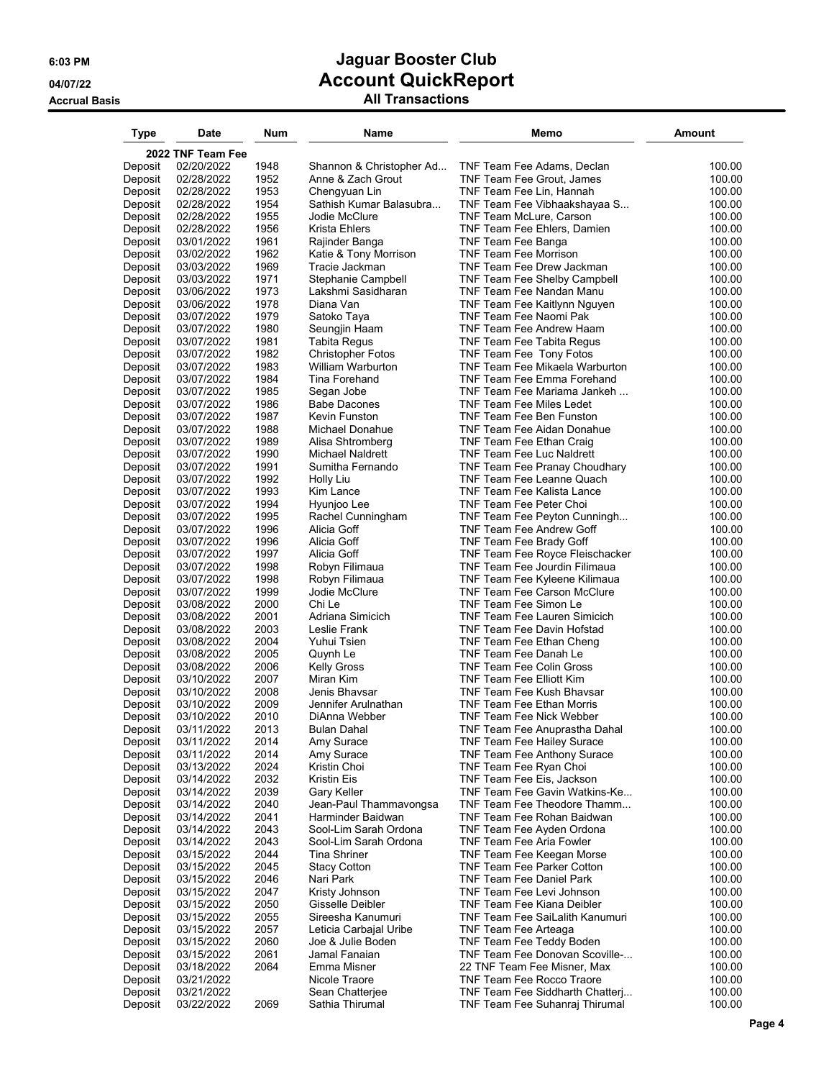| Type               | Date                     | Num          | Name                                    | Memo                                                             | <b>Amount</b>    |
|--------------------|--------------------------|--------------|-----------------------------------------|------------------------------------------------------------------|------------------|
|                    | 2022 TNF Team Fee        |              |                                         |                                                                  |                  |
| Deposit            | 02/20/2022               | 1948         | Shannon & Christopher Ad                | TNF Team Fee Adams, Declan                                       | 100.00           |
| Deposit            | 02/28/2022               | 1952         | Anne & Zach Grout                       | TNF Team Fee Grout, James                                        | 100.00           |
| Deposit            | 02/28/2022               | 1953         | Chengyuan Lin                           | TNF Team Fee Lin, Hannah                                         | 100.00           |
| Deposit            | 02/28/2022               | 1954         | Sathish Kumar Balasubra                 | TNF Team Fee Vibhaakshayaa S                                     | 100.00           |
| Deposit            | 02/28/2022               | 1955         | Jodie McClure                           | <b>TNF Team McLure, Carson</b>                                   | 100.00           |
| Deposit            | 02/28/2022               | 1956<br>1961 | Krista Ehlers                           | TNF Team Fee Ehlers, Damien                                      | 100.00<br>100.00 |
| Deposit<br>Deposit | 03/01/2022<br>03/02/2022 | 1962         | Rajinder Banga<br>Katie & Tony Morrison | TNF Team Fee Banga<br>TNF Team Fee Morrison                      | 100.00           |
| Deposit            | 03/03/2022               | 1969         | Tracie Jackman                          | TNF Team Fee Drew Jackman                                        | 100.00           |
| Deposit            | 03/03/2022               | 1971         | Stephanie Campbell                      | <b>TNF Team Fee Shelby Campbell</b>                              | 100.00           |
| Deposit            | 03/06/2022               | 1973         | Lakshmi Sasidharan                      | TNF Team Fee Nandan Manu                                         | 100.00           |
| Deposit            | 03/06/2022               | 1978         | Diana Van                               | <b>TNF Team Fee Kaitlynn Nguyen</b>                              | 100.00           |
| Deposit            | 03/07/2022               | 1979         | Satoko Taya                             | TNF Team Fee Naomi Pak                                           | 100.00           |
| Deposit            | 03/07/2022               | 1980         | Seungjin Haam                           | TNF Team Fee Andrew Haam                                         | 100.00           |
| Deposit            | 03/07/2022               | 1981         | <b>Tabita Regus</b>                     | TNF Team Fee Tabita Regus                                        | 100.00           |
| Deposit            | 03/07/2022               | 1982         | <b>Christopher Fotos</b>                | TNF Team Fee Tony Fotos                                          | 100.00           |
| Deposit            | 03/07/2022               | 1983         | William Warburton                       | TNF Team Fee Mikaela Warburton                                   | 100.00           |
| Deposit            | 03/07/2022               | 1984         | Tina Forehand                           | TNF Team Fee Emma Forehand                                       | 100.00           |
| Deposit            | 03/07/2022<br>03/07/2022 | 1985<br>1986 | Segan Jobe<br><b>Babe Dacones</b>       | TNF Team Fee Mariama Jankeh<br>TNF Team Fee Miles Ledet          | 100.00<br>100.00 |
| Deposit<br>Deposit | 03/07/2022               | 1987         | Kevin Funston                           | <b>TNF Team Fee Ben Funston</b>                                  | 100.00           |
| Deposit            | 03/07/2022               | 1988         | Michael Donahue                         | TNF Team Fee Aidan Donahue                                       | 100.00           |
| Deposit            | 03/07/2022               | 1989         | Alisa Shtromberg                        | TNF Team Fee Ethan Craig                                         | 100.00           |
| Deposit            | 03/07/2022               | 1990         | <b>Michael Naldrett</b>                 | TNF Team Fee Luc Naldrett                                        | 100.00           |
| Deposit            | 03/07/2022               | 1991         | Sumitha Fernando                        | TNF Team Fee Pranay Choudhary                                    | 100.00           |
| Deposit            | 03/07/2022               | 1992         | Holly Liu                               | TNF Team Fee Leanne Quach                                        | 100.00           |
| Deposit            | 03/07/2022               | 1993         | Kim Lance                               | TNF Team Fee Kalista Lance                                       | 100.00           |
| Deposit            | 03/07/2022               | 1994         | Hyunjoo Lee                             | TNF Team Fee Peter Choi                                          | 100.00           |
| Deposit            | 03/07/2022               | 1995         | Rachel Cunningham                       | TNF Team Fee Peyton Cunningh                                     | 100.00           |
| Deposit            | 03/07/2022               | 1996         | Alicia Goff                             | TNF Team Fee Andrew Goff                                         | 100.00           |
| Deposit            | 03/07/2022               | 1996         | Alicia Goff                             | TNF Team Fee Brady Goff                                          | 100.00           |
| Deposit<br>Deposit | 03/07/2022<br>03/07/2022 | 1997<br>1998 | Alicia Goff<br>Robyn Filimaua           | TNF Team Fee Royce Fleischacker<br>TNF Team Fee Jourdin Filimaua | 100.00<br>100.00 |
| Deposit            | 03/07/2022               | 1998         | Robyn Filimaua                          | TNF Team Fee Kyleene Kilimaua                                    | 100.00           |
| Deposit            | 03/07/2022               | 1999         | Jodie McClure                           | <b>TNF Team Fee Carson McClure</b>                               | 100.00           |
| Deposit            | 03/08/2022               | 2000         | Chi Le                                  | TNF Team Fee Simon Le                                            | 100.00           |
| Deposit            | 03/08/2022               | 2001         | Adriana Simicich                        | TNF Team Fee Lauren Simicich                                     | 100.00           |
| Deposit            | 03/08/2022               | 2003         | Leslie Frank                            | TNF Team Fee Davin Hofstad                                       | 100.00           |
| Deposit            | 03/08/2022               | 2004         | Yuhui Tsien                             | TNF Team Fee Ethan Cheng                                         | 100.00           |
| Deposit            | 03/08/2022               | 2005         | Quynh Le                                | TNF Team Fee Danah Le                                            | 100.00           |
| Deposit            | 03/08/2022               | 2006         | <b>Kelly Gross</b>                      | <b>TNF Team Fee Colin Gross</b>                                  | 100.00           |
| Deposit            | 03/10/2022               | 2007         | Miran Kim                               | TNF Team Fee Elliott Kim                                         | 100.00           |
| Deposit<br>Deposit | 03/10/2022<br>03/10/2022 | 2008<br>2009 | Jenis Bhavsar<br>Jennifer Arulnathan    | TNF Team Fee Kush Bhavsar<br>TNF Team Fee Ethan Morris           | 100.00<br>100.00 |
| Deposit            | 03/10/2022               | 2010         | DiAnna Webber                           | TNF Team Fee Nick Webber                                         | 100.00           |
| Deposit            | 03/11/2022               | 2013         | Bulan Dahal                             | TNF Team Fee Anuprastha Dahal                                    | 100.00           |
| Deposit            | 03/11/2022               | 2014         | Amy Surace                              | TNF Team Fee Hailey Surace                                       | 100.00           |
| Deposit            | 03/11/2022               | 2014         | Amy Surace                              | TNF Team Fee Anthony Surace                                      | 100.00           |
| Deposit            | 03/13/2022               | 2024         | Kristin Choi                            | TNF Team Fee Ryan Choi                                           | 100.00           |
| Deposit            | 03/14/2022               | 2032         | Kristin Eis                             | TNF Team Fee Eis, Jackson                                        | 100.00           |
| Deposit            | 03/14/2022               | 2039         | Gary Keller                             | TNF Team Fee Gavin Watkins-Ke                                    | 100.00           |
| Deposit            | 03/14/2022               | 2040         | Jean-Paul Thammavongsa                  | TNF Team Fee Theodore Thamm                                      | 100.00           |
| Deposit            | 03/14/2022               | 2041         | Harminder Baidwan                       | TNF Team Fee Rohan Baidwan                                       | 100.00           |
| Deposit            | 03/14/2022               | 2043         | Sool-Lim Sarah Ordona                   | TNF Team Fee Ayden Ordona                                        | 100.00           |
| Deposit<br>Deposit | 03/14/2022<br>03/15/2022 | 2043<br>2044 | Sool-Lim Sarah Ordona<br>Tina Shriner   | TNF Team Fee Aria Fowler<br>TNF Team Fee Keegan Morse            | 100.00<br>100.00 |
| Deposit            | 03/15/2022               | 2045         | <b>Stacy Cotton</b>                     | TNF Team Fee Parker Cotton                                       | 100.00           |
| Deposit            | 03/15/2022               | 2046         | Nari Park                               | <b>TNF Team Fee Daniel Park</b>                                  | 100.00           |
| Deposit            | 03/15/2022               | 2047         | Kristy Johnson                          | TNF Team Fee Levi Johnson                                        | 100.00           |
| Deposit            | 03/15/2022               | 2050         | Gisselle Deibler                        | TNF Team Fee Kiana Deibler                                       | 100.00           |
| Deposit            | 03/15/2022               | 2055         | Sireesha Kanumuri                       | <b>TNF Team Fee SaiLalith Kanumuri</b>                           | 100.00           |
| Deposit            | 03/15/2022               | 2057         | Leticia Carbajal Uribe                  | TNF Team Fee Arteaga                                             | 100.00           |
| Deposit            | 03/15/2022               | 2060         | Joe & Julie Boden                       | TNF Team Fee Teddy Boden                                         | 100.00           |
| Deposit            | 03/15/2022               | 2061         | Jamal Fanaian                           | TNF Team Fee Donovan Scoville-                                   | 100.00           |
| Deposit            | 03/18/2022               | 2064         | Emma Misner                             | 22 TNF Team Fee Misner, Max                                      | 100.00           |
| Deposit<br>Deposit | 03/21/2022<br>03/21/2022 |              | Nicole Traore<br>Sean Chatterjee        | TNF Team Fee Rocco Traore<br>TNF Team Fee Siddharth Chatterj     | 100.00<br>100.00 |
| Deposit            | 03/22/2022               | 2069         | Sathia Thirumal                         | TNF Team Fee Suhanraj Thirumal                                   | 100.00           |
|                    |                          |              |                                         |                                                                  |                  |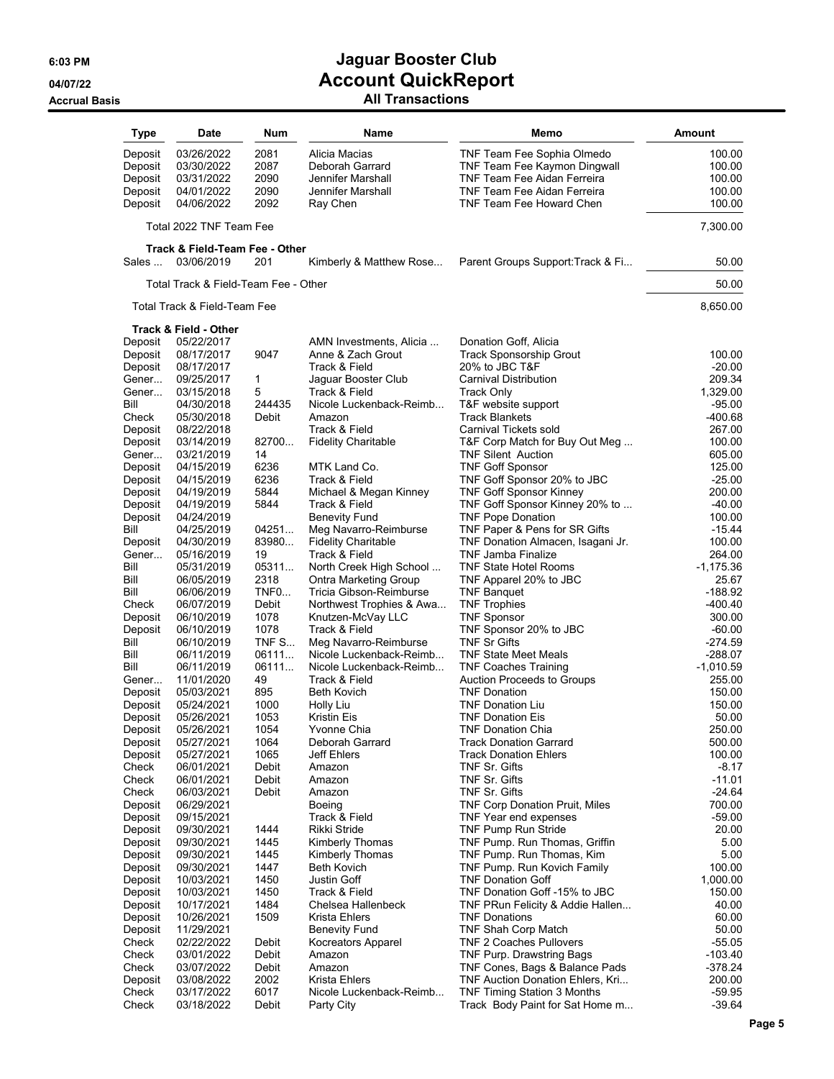| Type               | Date                                 | Num            | Name                                                    | Memo                                                           | <b>Amount</b>         |
|--------------------|--------------------------------------|----------------|---------------------------------------------------------|----------------------------------------------------------------|-----------------------|
| Deposit            | 03/26/2022                           | 2081           | Alicia Macias                                           | TNF Team Fee Sophia Olmedo                                     | 100.00                |
| Deposit            | 03/30/2022                           | 2087           | Deborah Garrard                                         | TNF Team Fee Kaymon Dingwall                                   | 100.00                |
| Deposit            | 03/31/2022                           | 2090           | Jennifer Marshall                                       | TNF Team Fee Aidan Ferreira                                    | 100.00                |
| Deposit            | 04/01/2022                           | 2090           | Jennifer Marshall                                       | TNF Team Fee Aidan Ferreira                                    | 100.00                |
| Deposit            | 04/06/2022                           | 2092           | Ray Chen                                                | TNF Team Fee Howard Chen                                       | 100.00                |
|                    | Total 2022 TNF Team Fee              |                |                                                         |                                                                | 7,300.00              |
|                    | Track & Field-Team Fee - Other       |                |                                                         |                                                                |                       |
| Sales              | 03/06/2019                           | 201            | Kimberly & Matthew Rose                                 | Parent Groups Support: Track & Fi                              | 50.00                 |
|                    | Total Track & Field-Team Fee - Other |                |                                                         |                                                                | 50.00                 |
|                    | Total Track & Field-Team Fee         |                |                                                         |                                                                | 8,650.00              |
| Deposit            | Track & Field - Other<br>05/22/2017  |                | AMN Investments, Alicia                                 | Donation Goff, Alicia                                          |                       |
| Deposit            | 08/17/2017                           | 9047           | Anne & Zach Grout                                       | <b>Track Sponsorship Grout</b>                                 | 100.00                |
| Deposit            | 08/17/2017                           |                | Track & Field                                           | 20% to JBC T&F                                                 | $-20.00$              |
| Gener              | 09/25/2017                           | 1              | Jaguar Booster Club                                     | Carnival Distribution                                          | 209.34                |
| Gener              | 03/15/2018                           | 5              | Track & Field                                           | <b>Track Only</b>                                              | 1,329.00              |
| Bill               | 04/30/2018                           | 244435         | Nicole Luckenback-Reimb                                 | T&F website support                                            | $-95.00$              |
| Check              | 05/30/2018                           | Debit          | Amazon                                                  | <b>Track Blankets</b>                                          | -400.68               |
| Deposit            | 08/22/2018                           |                | Track & Field                                           | Carnival Tickets sold                                          | 267.00                |
| Deposit<br>Gener   | 03/14/2019<br>03/21/2019             | 82700<br>14    | <b>Fidelity Charitable</b>                              | T&F Corp Match for Buy Out Meg<br><b>TNF Silent Auction</b>    | 100.00<br>605.00      |
| Deposit            | 04/15/2019                           | 6236           | MTK Land Co.                                            | <b>TNF Goff Sponsor</b>                                        | 125.00                |
| Deposit            | 04/15/2019                           | 6236           | Track & Field                                           | TNF Goff Sponsor 20% to JBC                                    | $-25.00$              |
| Deposit            | 04/19/2019                           | 5844           | Michael & Megan Kinney                                  | <b>TNF Goff Sponsor Kinney</b>                                 | 200.00                |
| Deposit            | 04/19/2019                           | 5844           | Track & Field                                           | TNF Goff Sponsor Kinney 20% to                                 | $-40.00$              |
| Deposit            | 04/24/2019                           |                | Benevity Fund                                           | <b>TNF Pope Donation</b>                                       | 100.00                |
| Bill               | 04/25/2019                           | 04251          | Meg Navarro-Reimburse                                   | TNF Paper & Pens for SR Gifts                                  | -15.44                |
| Deposit            | 04/30/2019                           | 83980          | <b>Fidelity Charitable</b>                              | TNF Donation Almacen, Isagani Jr.                              | 100.00                |
| Gener<br>Bill      | 05/16/2019                           | 19<br>05311    | Track & Field                                           | <b>TNF Jamba Finalize</b><br><b>TNF State Hotel Rooms</b>      | 264.00<br>$-1,175.36$ |
| Bill               | 05/31/2019<br>06/05/2019             | 2318           | North Creek High School<br><b>Ontra Marketing Group</b> | TNF Apparel 20% to JBC                                         | 25.67                 |
| Bill               | 06/06/2019                           | TNFO           | Tricia Gibson-Reimburse                                 | <b>TNF Banquet</b>                                             | -188.92               |
| Check              | 06/07/2019                           | Debit          | Northwest Trophies & Awa                                | <b>TNF Trophies</b>                                            | $-400.40$             |
| Deposit            | 06/10/2019                           | 1078           | Knutzen-McVay LLC                                       | <b>TNF Sponsor</b>                                             | 300.00                |
| Deposit            | 06/10/2019                           | 1078           | Track & Field                                           | TNF Sponsor 20% to JBC                                         | $-60.00$              |
| Bill               | 06/10/2019                           | TNF S          | Meg Navarro-Reimburse                                   | <b>TNF Sr Gifts</b>                                            | $-274.59$             |
| Bill               | 06/11/2019                           | 06111          | Nicole Luckenback-Reimb                                 | <b>TNF State Meet Meals</b>                                    | $-288.07$             |
| Bill               | 06/11/2019                           | 06111          | Nicole Luckenback-Reimb                                 | <b>TNF Coaches Training</b>                                    | $-1,010.59$           |
| Gener              | 11/01/2020<br>05/03/2021             | 49<br>895      | Track & Field<br>Beth Kovich                            | <b>Auction Proceeds to Groups</b><br><b>TNF Donation</b>       | 255.00<br>150.00      |
| Deposit<br>Deposit | 05/24/2021                           | 1000           | Holly Liu                                               | <b>TNF Donation Liu</b>                                        | 150.00                |
| Deposit            | 05/26/2021                           | 1053           | Kristin Eis                                             | <b>TNF Donation Eis</b>                                        | 50.00                 |
| Deposit            | 05/26/2021                           | 1054           | Yvonne Chia                                             | <b>TNF Donation Chia</b>                                       | 250.00                |
| Deposit            | 05/27/2021                           | 1064           | Deborah Garrard                                         | <b>Track Donation Garrard</b>                                  | 500.00                |
| Deposit            | 05/27/2021                           | 1065           | Jeff Ehlers                                             | <b>Track Donation Ehlers</b>                                   | 100.00                |
| Check              | 06/01/2021                           | Debit          | Amazon                                                  | TNF Sr. Gifts                                                  | $-8.17$               |
| Check              | 06/01/2021                           | Debit          | Amazon                                                  | TNF Sr. Gifts                                                  | $-11.01$              |
| Check              | 06/03/2021                           | Debit          | Amazon                                                  | TNF Sr. Gifts                                                  | $-24.64$              |
| Deposit<br>Deposit | 06/29/2021<br>09/15/2021             |                | Boeing<br>Track & Field                                 | <b>TNF Corp Donation Pruit, Miles</b><br>TNF Year end expenses | 700.00<br>$-59.00$    |
| Deposit            | 09/30/2021                           | 1444           | Rikki Stride                                            | <b>TNF Pump Run Stride</b>                                     | 20.00                 |
| Deposit            | 09/30/2021                           | 1445           | Kimberly Thomas                                         | TNF Pump. Run Thomas, Griffin                                  | 5.00                  |
| Deposit            | 09/30/2021                           | 1445           | Kimberly Thomas                                         | TNF Pump. Run Thomas, Kim                                      | 5.00                  |
| Deposit            | 09/30/2021                           | 1447           | Beth Kovich                                             | TNF Pump. Run Kovich Family                                    | 100.00                |
| Deposit            | 10/03/2021                           | 1450           | Justin Goff                                             | <b>TNF Donation Goff</b>                                       | 1,000.00              |
| Deposit            | 10/03/2021                           | 1450           | Track & Field                                           | TNF Donation Goff -15% to JBC                                  | 150.00                |
| Deposit            | 10/17/2021                           | 1484           | Chelsea Hallenbeck                                      | TNF PRun Felicity & Addie Hallen                               | 40.00                 |
| Deposit            | 10/26/2021                           | 1509           | Krista Ehlers                                           | <b>TNF Donations</b>                                           | 60.00                 |
| Deposit            | 11/29/2021                           |                | Benevity Fund                                           | <b>TNF Shah Corp Match</b>                                     | 50.00                 |
| Check<br>Check     | 02/22/2022<br>03/01/2022             | Debit<br>Debit | Kocreators Apparel<br>Amazon                            | <b>TNF 2 Coaches Pullovers</b><br>TNF Purp. Drawstring Bags    | $-55.05$<br>$-103.40$ |
| Check              | 03/07/2022                           | Debit          | Amazon                                                  | TNF Cones, Bags & Balance Pads                                 | $-378.24$             |
| Deposit            | 03/08/2022                           | 2002           | Krista Ehlers                                           | TNF Auction Donation Ehlers, Kri                               | 200.00                |
| Check              | 03/17/2022                           | 6017           | Nicole Luckenback-Reimb                                 | <b>TNF Timing Station 3 Months</b>                             | $-59.95$              |
| Check              | 03/18/2022                           | Debit          | Party City                                              | Track Body Paint for Sat Home m                                | $-39.64$              |